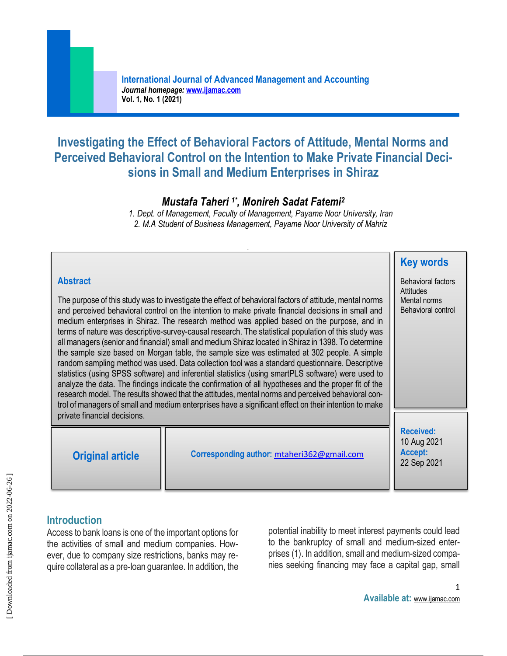# **Investigating the Effect of Behavioral Factors of Attitude, Mental Norms and Perceived Behavioral Control on the Intention to Make Private Financial Decisions in Small and Medium Enterprises in Shiraz**

## *Mustafa Taheri 1\* , Monireh Sadat Fatemi<sup>2</sup>*

*1. Dept. of Management, Faculty of Management, Payame Noor University, Iran 2. M.A Student of Business Management, Payame Noor University of Mahriz* 

| <b>Abstract</b>                                                                                                                                                                                                                                                                                                                                                                                                                                                                                                                                                                                                                                                                                                                                                                                                                                                                                                                                                                                                                                                                                                                                           |                                                        | <b>Key words</b><br><b>Behavioral factors</b>             |
|-----------------------------------------------------------------------------------------------------------------------------------------------------------------------------------------------------------------------------------------------------------------------------------------------------------------------------------------------------------------------------------------------------------------------------------------------------------------------------------------------------------------------------------------------------------------------------------------------------------------------------------------------------------------------------------------------------------------------------------------------------------------------------------------------------------------------------------------------------------------------------------------------------------------------------------------------------------------------------------------------------------------------------------------------------------------------------------------------------------------------------------------------------------|--------------------------------------------------------|-----------------------------------------------------------|
| The purpose of this study was to investigate the effect of behavioral factors of attitude, mental norms<br>and perceived behavioral control on the intention to make private financial decisions in small and<br>medium enterprises in Shiraz. The research method was applied based on the purpose, and in<br>terms of nature was descriptive-survey-causal research. The statistical population of this study was<br>all managers (senior and financial) small and medium Shiraz located in Shiraz in 1398. To determine<br>the sample size based on Morgan table, the sample size was estimated at 302 people. A simple<br>random sampling method was used. Data collection tool was a standard questionnaire. Descriptive<br>statistics (using SPSS software) and inferential statistics (using smartPLS software) were used to<br>analyze the data. The findings indicate the confirmation of all hypotheses and the proper fit of the<br>research model. The results showed that the attitudes, mental norms and perceived behavioral con-<br>trol of managers of small and medium enterprises have a significant effect on their intention to make | <b>Attitudes</b><br>Mental norms<br>Behavioral control |                                                           |
| private financial decisions.                                                                                                                                                                                                                                                                                                                                                                                                                                                                                                                                                                                                                                                                                                                                                                                                                                                                                                                                                                                                                                                                                                                              |                                                        |                                                           |
| <b>Original article</b>                                                                                                                                                                                                                                                                                                                                                                                                                                                                                                                                                                                                                                                                                                                                                                                                                                                                                                                                                                                                                                                                                                                                   | Corresponding author: mtaheri362@gmail.com             | <b>Received:</b><br>10 Aug 2021<br>Accept:<br>22 Sep 2021 |

## **Introduction**

Access to bank loans is one of the important options for the activities of small and medium companies. However, due to company size restrictions, banks may require collateral as a pre-loan guarantee. In addition, the

potential inability to meet interest payments could lead to the bankruptcy of small and medium-sized enterprises (1). In addition, small and medium-sized companies seeking financing may face a capital gap, small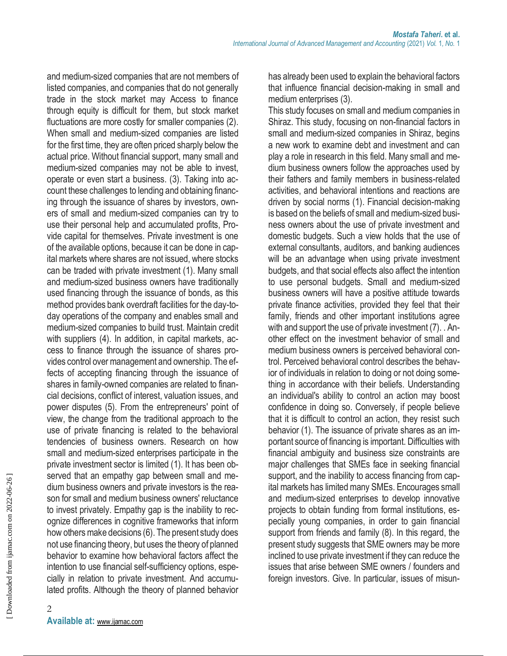and medium-sized companies that are not members of listed companies, and companies that do not generally trade in the stock market may Access to finance through equity is difficult for them, but stock market fluctuations are more costly for smaller companies (2). When small and medium-sized companies are listed for the first time, they are often priced sharply below the actual price. Without financial support, many small and medium-sized companies may not be able to invest, operate or even start a business. (3). Taking into account these challenges to lending and obtaining financing through the issuance of shares by investors, owners of small and medium-sized companies can try to use their personal help and accumulated profits, Provide capital for themselves. Private investment is one of the available options, because it can be done in capital markets where shares are not issued, where stocks can be traded with private investment (1). Many small and medium-sized business owners have traditionally used financing through the issuance of bonds, as this method provides bank overdraft facilities for the day-today operations of the company and enables small and medium-sized companies to build trust. Maintain credit with suppliers (4). In addition, in capital markets, access to finance through the issuance of shares provides control over management and ownership. The effects of accepting financing through the issuance of shares in family-owned companies are related to financial decisions, conflict of interest, valuation issues, and power disputes (5). From the entrepreneurs' point of view, the change from the traditional approach to the use of private financing is related to the behavioral tendencies of business owners. Research on how small and medium-sized enterprises participate in the private investment sector is limited (1). It has been observed that an empathy gap between small and medium business owners and private investors is the reason for small and medium business owners' reluctance to invest privately. Empathy gap is the inability to recognize differences in cognitive frameworks that inform how others make decisions (6). The present study does not use financing theory, but uses the theory of planned behavior to examine how behavioral factors affect the intention to use financial self-sufficiency options, especially in relation to private investment. And accumulated profits. Although the theory of planned behavior

has already been used to explain the behavioral factors that influence financial decision-making in small and medium enterprises (3).

This study focuses on small and medium companies in Shiraz. This study, focusing on non-financial factors in small and medium-sized companies in Shiraz, begins a new work to examine debt and investment and can play a role in research in this field. Many small and medium business owners follow the approaches used by their fathers and family members in business-related activities, and behavioral intentions and reactions are driven by social norms (1). Financial decision-making is based on the beliefs of small and medium-sized business owners about the use of private investment and domestic budgets. Such a view holds that the use of external consultants, auditors, and banking audiences will be an advantage when using private investment budgets, and that social effects also affect the intention to use personal budgets. Small and medium-sized business owners will have a positive attitude towards private finance activities, provided they feel that their family, friends and other important institutions agree with and support the use of private investment (7). . Another effect on the investment behavior of small and medium business owners is perceived behavioral control. Perceived behavioral control describes the behavior of individuals in relation to doing or not doing something in accordance with their beliefs. Understanding an individual's ability to control an action may boost confidence in doing so. Conversely, if people believe that it is difficult to control an action, they resist such behavior (1). The issuance of private shares as an important source of financing is important. Difficulties with financial ambiguity and business size constraints are major challenges that SMEs face in seeking financial support, and the inability to access financing from capital markets has limited many SMEs. Encourages small and medium-sized enterprises to develop innovative projects to obtain funding from formal institutions, especially young companies, in order to gain financial support from friends and family (8). In this regard, the present study suggests that SME owners may be more inclined to use private investment if they can reduce the issues that arise between SME owners / founders and foreign investors. Give. In particular, issues of misun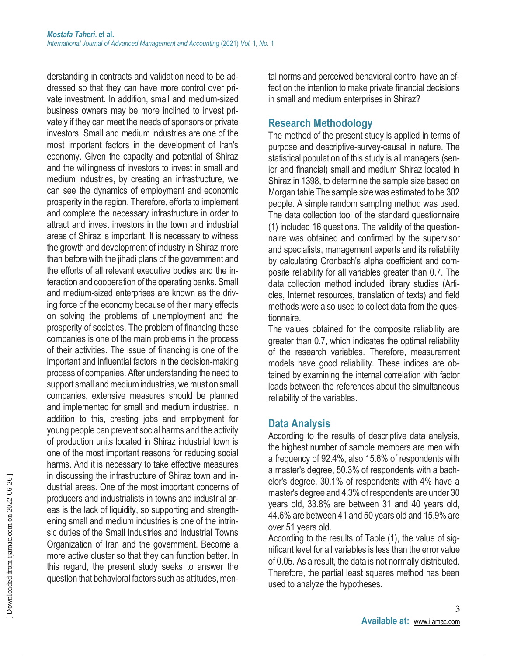derstanding in contracts and validation need to be addressed so that they can have more control over private investment. In addition, small and medium-sized business owners may be more inclined to invest privately if they can meet the needs of sponsors or private investors. Small and medium industries are one of the most important factors in the development of Iran's economy. Given the capacity and potential of Shiraz and the willingness of investors to invest in small and medium industries, by creating an infrastructure, we can see the dynamics of employment and economic prosperity in the region. Therefore, efforts to implement and complete the necessary infrastructure in order to attract and invest investors in the town and industrial areas of Shiraz is important. It is necessary to witness the growth and development of industry in Shiraz more than before with the jihadi plans of the government and the efforts of all relevant executive bodies and the interaction and cooperation of the operating banks. Small and medium-sized enterprises are known as the driving force of the economy because of their many effects on solving the problems of unemployment and the prosperity of societies. The problem of financing these companies is one of the main problems in the process of their activities. The issue of financing is one of the important and influential factors in the decision-making process of companies. After understanding the need to support small and medium industries, we must on small companies, extensive measures should be planned and implemented for small and medium industries. In addition to this, creating jobs and employment for young people can prevent social harms and the activity of production units located in Shiraz industrial town is one of the most important reasons for reducing social harms. And it is necessary to take effective measures in discussing the infrastructure of Shiraz town and industrial areas. One of the most important concerns of producers and industrialists in towns and industrial areas is the lack of liquidity, so supporting and strengthening small and medium industries is one of the intrinsic duties of the Small Industries and Industrial Towns Organization of Iran and the government. Become a more active cluster so that they can function better. In this regard, the present study seeks to answer the question that behavioral factors such as attitudes, mental norms and perceived behavioral control have an effect on the intention to make private financial decisions in small and medium enterprises in Shiraz?

#### **Research Methodology**

The method of the present study is applied in terms of purpose and descriptive-survey-causal in nature. The statistical population of this study is all managers (senior and financial) small and medium Shiraz located in Shiraz in 1398, to determine the sample size based on Morgan table The sample size was estimated to be 302 people. A simple random sampling method was used. The data collection tool of the standard questionnaire (1) included 16 questions. The validity of the questionnaire was obtained and confirmed by the supervisor and specialists, management experts and its reliability by calculating Cronbach's alpha coefficient and composite reliability for all variables greater than 0.7. The data collection method included library studies (Articles, Internet resources, translation of texts) and field methods were also used to collect data from the questionnaire.

The values obtained for the composite reliability are greater than 0.7, which indicates the optimal reliability of the research variables. Therefore, measurement models have good reliability. These indices are obtained by examining the internal correlation with factor loads between the references about the simultaneous reliability of the variables.

#### **Data Analysis**

According to the results of descriptive data analysis, the highest number of sample members are men with a frequency of 92.4%, also 15.6% of respondents with a master's degree, 50.3% of respondents with a bachelor's degree, 30.1% of respondents with 4% have a master's degree and 4.3% of respondents are under 30 years old, 33.8% are between 31 and 40 years old, 44.6% are between 41 and 50 years old and 15.9% are over 51 years old.

According to the results of Table (1), the value of significant level for all variables is less than the error value of 0.05. As a result, the data is not normally distributed. Therefore, the partial least squares method has been used to analyze the hypotheses.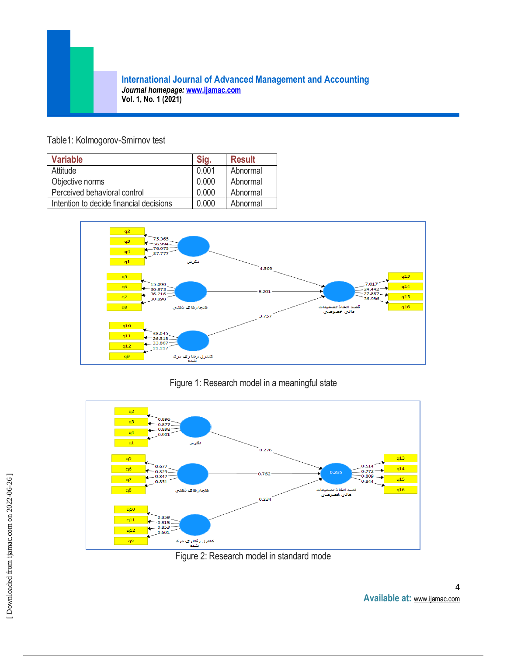#### Table1: Kolmogorov-Smirnov test

| <b>Variable</b>                         | Sig.  | <b>Result</b> |
|-----------------------------------------|-------|---------------|
| Attitude                                | 0.001 | Abnormal      |
| Objective norms                         | 0.000 | Abnormal      |
| Perceived behavioral control            | 0.000 | Abnormal      |
| Intention to decide financial decisions | 0 000 | Abnormal      |



### Figure 1: Research model in a meaningful state



Figure 2: Research model in standard mode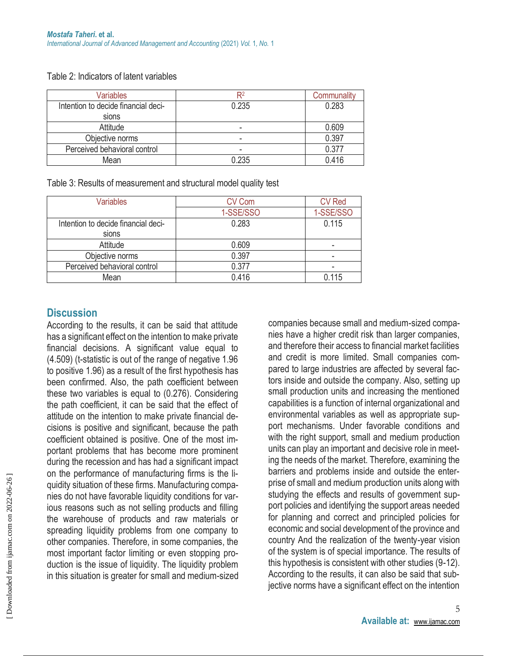| <b>Variables</b>                    | R2    | Communality |
|-------------------------------------|-------|-------------|
| Intention to decide financial deci- | 0.235 | 0.283       |
| sions                               |       |             |
| Attitude                            |       | 0.609       |
| Objective norms                     | -     | 0.397       |
| Perceived behavioral control        | -     | 0.377       |
| Mean                                | 0.235 | 0.416       |

#### Table 2: Indicators of latent variables

Table 3: Results of measurement and structural model quality test

| <b>Variables</b>                    | <b>CV Com</b> | <b>CV Red</b> |
|-------------------------------------|---------------|---------------|
|                                     | 1-SSE/SSO     | 1-SSE/SSO     |
| Intention to decide financial deci- | 0.283         | 0.115         |
| sions                               |               |               |
| Attitude                            | 0.609         |               |
| Objective norms                     | 0.397         |               |
| Perceived behavioral control        | 0.377         |               |
| Mean                                | 0.416         | 0.115         |

### **Discussion**

According to the results, it can be said that attitude has a significant effect on the intention to make private financial decisions. A significant value equal to (4.509) (t-statistic is out of the range of negative 1.96 to positive 1.96) as a result of the first hypothesis has been confirmed. Also, the path coefficient between these two variables is equal to (0.276). Considering the path coefficient, it can be said that the effect of attitude on the intention to make private financial decisions is positive and significant, because the path coefficient obtained is positive. One of the most important problems that has become more prominent during the recession and has had a significant impact on the performance of manufacturing firms is the liquidity situation of these firms. Manufacturing companies do not have favorable liquidity conditions for various reasons such as not selling products and filling the warehouse of products and raw materials or spreading liquidity problems from one company to other companies. Therefore, in some companies, the most important factor limiting or even stopping production is the issue of liquidity. The liquidity problem in this situation is greater for small and medium-sized

companies because small and medium-sized companies have a higher credit risk than larger companies, and therefore their access to financial market facilities and credit is more limited. Small companies compared to large industries are affected by several factors inside and outside the company. Also, setting up small production units and increasing the mentioned capabilities is a function of internal organizational and environmental variables as well as appropriate support mechanisms. Under favorable conditions and with the right support, small and medium production units can play an important and decisive role in meeting the needs of the market. Therefore, examining the barriers and problems inside and outside the enterprise of small and medium production units along with studying the effects and results of government support policies and identifying the support areas needed for planning and correct and principled policies for economic and social development of the province and country And the realization of the twenty-year vision of the system is of special importance. The results of this hypothesis is consistent with other studies (9-12). According to the results, it can also be said that subjective norms have a significant effect on the intention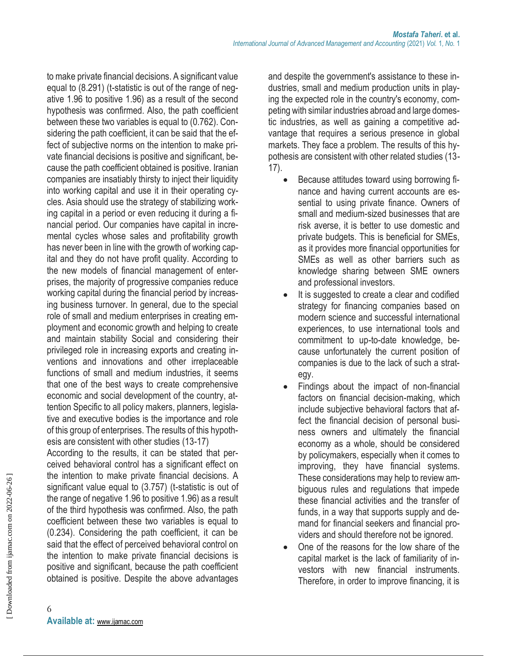to make private financial decisions. A significant value equal to (8.291) (t-statistic is out of the range of negative 1.96 to positive 1.96) as a result of the second hypothesis was confirmed. Also, the path coefficient between these two variables is equal to (0.762). Considering the path coefficient, it can be said that the effect of subjective norms on the intention to make private financial decisions is positive and significant, because the path coefficient obtained is positive. Iranian companies are insatiably thirsty to inject their liquidity into working capital and use it in their operating cycles. Asia should use the strategy of stabilizing working capital in a period or even reducing it during a financial period. Our companies have capital in incremental cycles whose sales and profitability growth has never been in line with the growth of working capital and they do not have profit quality. According to the new models of financial management of enterprises, the majority of progressive companies reduce working capital during the financial period by increasing business turnover. In general, due to the special role of small and medium enterprises in creating employment and economic growth and helping to create and maintain stability Social and considering their privileged role in increasing exports and creating inventions and innovations and other irreplaceable functions of small and medium industries, it seems that one of the best ways to create comprehensive economic and social development of the country, attention Specific to all policy makers, planners, legislative and executive bodies is the importance and role of this group of enterprises. The results of this hypothesis are consistent with other studies (13-17)

According to the results, it can be stated that perceived behavioral control has a significant effect on the intention to make private financial decisions. A significant value equal to (3.757) (t-statistic is out of the range of negative 1.96 to positive 1.96) as a result of the third hypothesis was confirmed. Also, the path coefficient between these two variables is equal to (0.234). Considering the path coefficient, it can be said that the effect of perceived behavioral control on the intention to make private financial decisions is positive and significant, because the path coefficient obtained is positive. Despite the above advantages

and despite the government's assistance to these industries, small and medium production units in playing the expected role in the country's economy, competing with similar industries abroad and large domestic industries, as well as gaining a competitive advantage that requires a serious presence in global markets. They face a problem. The results of this hypothesis are consistent with other related studies (13- 17).

- Because attitudes toward using borrowing finance and having current accounts are essential to using private finance. Owners of small and medium-sized businesses that are risk averse, it is better to use domestic and private budgets. This is beneficial for SMEs, as it provides more financial opportunities for SMEs as well as other barriers such as knowledge sharing between SME owners and professional investors.
- It is suggested to create a clear and codified strategy for financing companies based on modern science and successful international experiences, to use international tools and commitment to up-to-date knowledge, because unfortunately the current position of companies is due to the lack of such a strategy.
- Findings about the impact of non-financial factors on financial decision-making, which include subjective behavioral factors that affect the financial decision of personal business owners and ultimately the financial economy as a whole, should be considered by policymakers, especially when it comes to improving, they have financial systems. These considerations may help to review ambiguous rules and regulations that impede these financial activities and the transfer of funds, in a way that supports supply and demand for financial seekers and financial providers and should therefore not be ignored.
- One of the reasons for the low share of the capital market is the lack of familiarity of investors with new financial instruments. Therefore, in order to improve financing, it is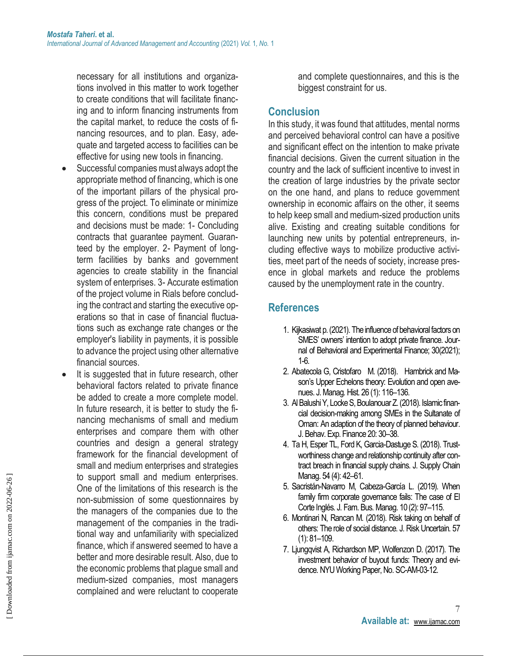necessary for all institutions and organizations involved in this matter to work together to create conditions that will facilitate financing and to inform financing instruments from the capital market, to reduce the costs of financing resources, and to plan. Easy, adequate and targeted access to facilities can be effective for using new tools in financing.

- Successful companies must always adopt the appropriate method of financing, which is one of the important pillars of the physical progress of the project. To eliminate or minimize this concern, conditions must be prepared and decisions must be made: 1- Concluding contracts that guarantee payment. Guaranteed by the employer. 2- Payment of longterm facilities by banks and government agencies to create stability in the financial system of enterprises. 3- Accurate estimation of the project volume in Rials before concluding the contract and starting the executive operations so that in case of financial fluctuations such as exchange rate changes or the employer's liability in payments, it is possible to advance the project using other alternative financial sources.
- It is suggested that in future research, other behavioral factors related to private finance be added to create a more complete model. In future research, it is better to study the financing mechanisms of small and medium enterprises and compare them with other countries and design a general strategy framework for the financial development of small and medium enterprises and strategies to support small and medium enterprises. One of the limitations of this research is the non-submission of some questionnaires by the managers of the companies due to the management of the companies in the traditional way and unfamiliarity with specialized finance, which if answered seemed to have a better and more desirable result. Also, due to the economic problems that plague small and medium-sized companies, most managers complained and were reluctant to cooperate

and complete questionnaires, and this is the biggest constraint for us.

### **Conclusion**

In this study, it was found that attitudes, mental norms and perceived behavioral control can have a positive and significant effect on the intention to make private financial decisions. Given the current situation in the country and the lack of sufficient incentive to invest in the creation of large industries by the private sector on the one hand, and plans to reduce government ownership in economic affairs on the other, it seems to help keep small and medium-sized production units alive. Existing and creating suitable conditions for launching new units by potential entrepreneurs, including effective ways to mobilize productive activities, meet part of the needs of society, increase presence in global markets and reduce the problems caused by the unemployment rate in the country.

## **References**

- 1. Kijkasiwat p. (2021). The influence of behavioral factors on SMES' owners' intention to adopt private finance. Journal of Behavioral and Experimental Finance; 30(2021); 1-6.
- 2. Abatecola G, Cristofaro M. (2018). Hambrick and Mason's Upper Echelons theory: Evolution and open avenues. J. Manag. Hist. 26 (1): 116–136.
- 3. Al Balushi Y, Locke S, Boulanouar Z. (2018). Islamic financial decision-making among SMEs in the Sultanate of Oman: An adaption of the theory of planned behaviour. J. Behav. Exp. Finance 20: 30–38.
- 4. Ta H, Esper TL, Ford K, Garcia-Dastuge S. (2018). Trustworthiness change and relationship continuity after contract breach in financial supply chains. J. Supply Chain Manag. 54 (4): 42–61.
- 5. Sacristán-Navarro M, Cabeza-García L. (2019). When family firm corporate governance fails: The case of El Corte Inglés. J. Fam. Bus. Manag. 10 (2): 97–115.
- 6. Montinari N, Rancan M. (2018). Risk taking on behalf of others: The role of social distance. J. Risk Uncertain. 57 (1): 81–109.
- 7. Ljungqvist A, Richardson MP, Wolfenzon D. (2017). The investment behavior of buyout funds: Theory and evidence. NYU Working Paper, No. SC-AM-03-12.